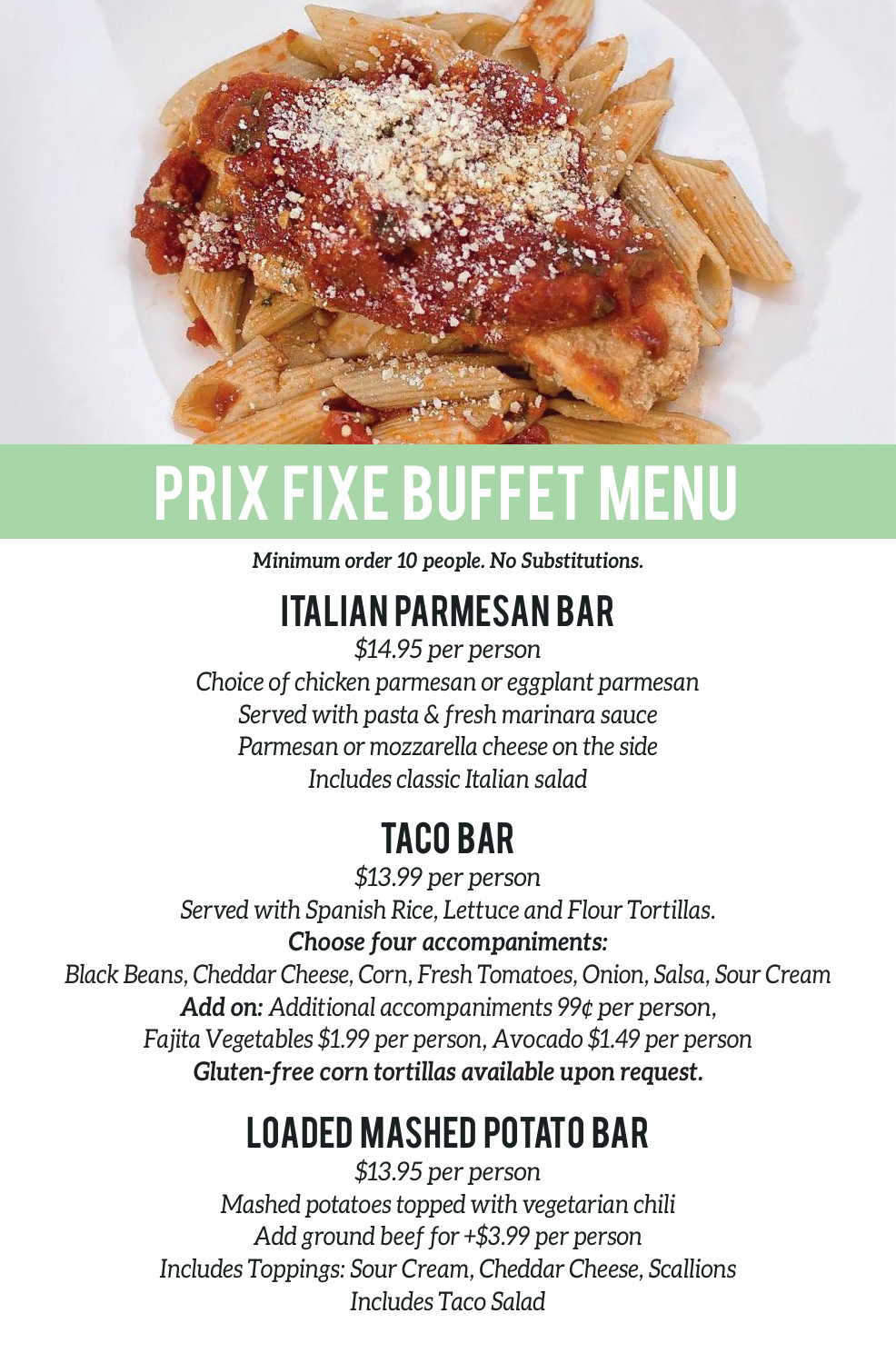

# PRIX FIXE BUFFET MENU

*Minimum order 10 people. No Substitutions.*

## ITALIAN PARMESAN BAR

*\$14.95 per person Choice of chicken parmesan or eggplant parmesan Served with pasta & fresh marinara sauce Parmesan or mozzarella cheese on the side Includes classic Italian salad*

## TACO BAR

*\$13.99 per person Served with Spanish Rice, Lettuce and Flour Tortillas. Choose four accompaniments:*

*Black Beans, Cheddar Cheese, Corn, Fresh Tomatoes, Onion, Salsa, Sour Cream Add on: Additional accompaniments 99¢ per person, Fajita Vegetables \$1.99 per person, Avocado \$1.49 per person Gluten-free corn tortillas available upon request.*

## LOADED MASHED POTATO BAR

*\$13.95 per person Mashed potatoes topped with vegetarian chili Add ground beef for +\$3.99 per person Includes Toppings: Sour Cream, Cheddar Cheese, Scallions Includes Taco Salad*